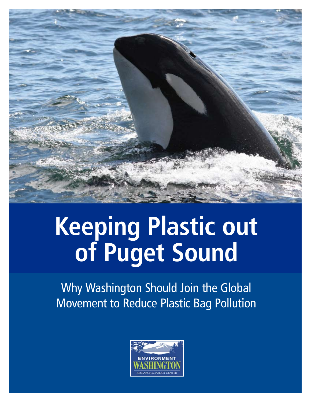

## **Keeping Plastic out of Puget Sound**

Why Washington Should Join the Global Movement to Reduce Plastic Bag Pollution

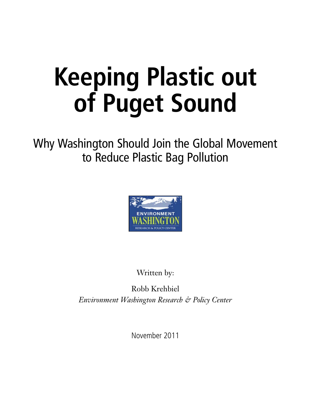# **Keeping Plastic out of Puget Sound**

Why Washington Should Join the Global Movement to Reduce Plastic Bag Pollution



Written by:

Robb Krehbiel *Environment Washington Research & Policy Center*

November 2011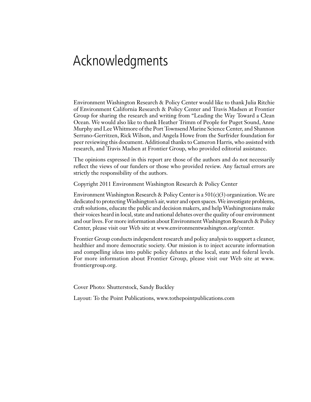### Acknowledgments

Environment Washington Research & Policy Center would like to thank Julia Ritchie of Environment California Research & Policy Center and Travis Madsen at Frontier Group for sharing the research and writing from "Leading the Way Toward a Clean Ocean. We would also like to thank Heather Trimm of People for Puget Sound, Anne Murphy and Lee Whitmore of the Port Townsend Marine Science Center, and Shannon Serrano-Gerritzen, Rick Wilson, and Angela Howe from the Surfrider foundation for peer reviewing this document. Additional thanks to Cameron Harris, who assisted with research, and Travis Madsen at Frontier Group, who provided editorial assistance.

The opinions expressed in this report are those of the authors and do not necessarily reflect the views of our funders or those who provided review. Any factual errors are strictly the responsibility of the authors.

Copyright 2011 Environment Washington Research & Policy Center

Environment Washington Research & Policy Center is a  $501(c)(3)$  organization. We are dedicated to protecting Washington's air, water and open spaces. We investigate problems, craft solutions, educate the public and decision makers, and help Washingtonians make their voices heard in local, state and national debates over the quality of our environment and our lives. For more information about Environment Washington Research & Policy Center, please visit our Web site at www.environmentwashington.org/center.

Frontier Group conducts independent research and policy analysis to support a cleaner, healthier and more democratic society. Our mission is to inject accurate information and compelling ideas into public policy debates at the local, state and federal levels. For more information about Frontier Group, please visit our Web site at www. frontiergroup.org.

Cover Photo: Shutterstock, Sandy Buckley

Layout: To the Point Publications, www.tothepointpublications.com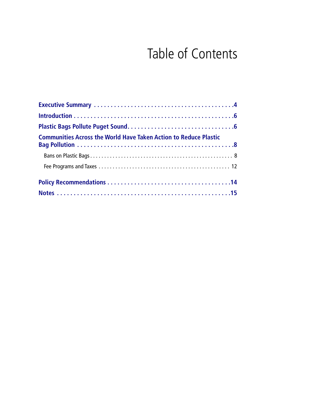## Table of Contents

| <b>Communities Across the World Have Taken Action to Reduce Plastic</b> |
|-------------------------------------------------------------------------|
|                                                                         |
|                                                                         |
|                                                                         |
|                                                                         |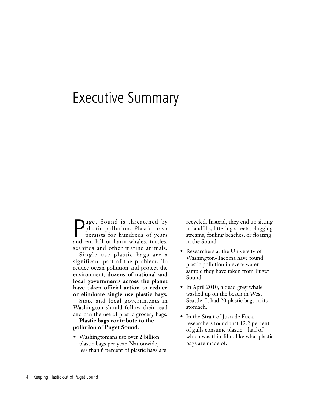### Executive Summary

P uget Sound is threatened by plastic pollution. Plastic trash persists for hundreds of years and can kill or harm whales, turtles, seabirds and other marine animals.

Single use plastic bags are a significant part of the problem. To reduce ocean pollution and protect the environment, **dozens of national and local governments across the planet have taken official action to reduce or eliminate single use plastic bags.**

State and local governments in Washington should follow their lead and ban the use of plastic grocery bags.

#### **Plastic bags contribute to the pollution of Puget Sound.**

• Washingtonians use over 2 billion plastic bags per year. Nationwide, less than 6 percent of plastic bags are recycled. Instead, they end up sitting in landfills, littering streets, clogging streams, fouling beaches, or floating in the Sound.

- Researchers at the University of Washington-Tacoma have found plastic pollution in every water sample they have taken from Puget Sound.
- In April 2010, a dead grey whale washed up on the beach in West Seattle. It had 20 plastic bags in its stomach.
- In the Strait of Juan de Fuca, researchers found that 12.2 percent of gulls consume plastic – half of which was thin-film, like what plastic bags are made of.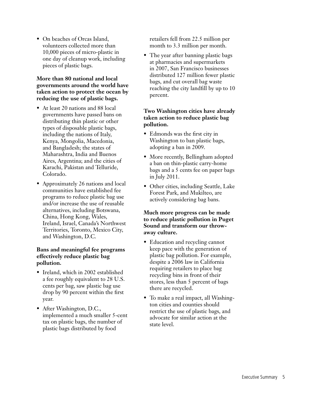• On beaches of Orcas Island, volunteers collected more than 10,000 pieces of micro-plastic in one day of cleanup work, including pieces of plastic bags.

#### **More than 80 national and local governments around the world have taken action to protect the ocean by reducing the use of plastic bags.**

- At least 20 nations and 88 local governments have passed bans on distributing thin plastic or other types of disposable plastic bags, including the nations of Italy, Kenya, Mongolia, Macedonia, and Bangladesh; the states of Maharashtra, India and Buenos Aires, Argentina; and the cities of Karachi, Pakistan and Telluride, Colorado.
- Approximately 26 nations and local communities have established fee programs to reduce plastic bag use and/or increase the use of reusable alternatives, including Botswana, China, Hong Kong, Wales, Ireland, Israel, Canada's Northwest Territories, Toronto, Mexico City, and Washington, D.C.

#### **Bans and meaningful fee programs effectively reduce plastic bag pollution.**

- Ireland, which in 2002 established a fee roughly equivalent to 28 U.S. cents per bag, saw plastic bag use drop by 90 percent within the first year.
- After Washington, D.C., implemented a much smaller 5-cent tax on plastic bags, the number of plastic bags distributed by food

retailers fell from 22.5 million per month to 3.3 million per month.

• The year after banning plastic bags at pharmacies and supermarkets in 2007, San Francisco businesses distributed 127 million fewer plastic bags, and cut overall bag waste reaching the city landfill by up to 10 percent.

#### **Two Washington cities have already taken action to reduce plastic bag pollution.**

- Edmonds was the first city in Washington to ban plastic bags, adopting a ban in 2009.
- More recently, Bellingham adopted a ban on thin-plastic carry-home bags and a 5 cents fee on paper bags in July 2011.
- Other cities, including Seattle, Lake Forest Park, and Mukilteo, are actively considering bag bans.

#### **Much more progress can be made to reduce plastic pollution in Puget Sound and transform our throwaway culture.**

- Education and recycling cannot keep pace with the generation of plastic bag pollution. For example, despite a 2006 law in California requiring retailers to place bag recycling bins in front of their stores, less than 5 percent of bags there are recycled.
- To make a real impact, all Washington cities and counties should restrict the use of plastic bags, and advocate for similar action at the state level.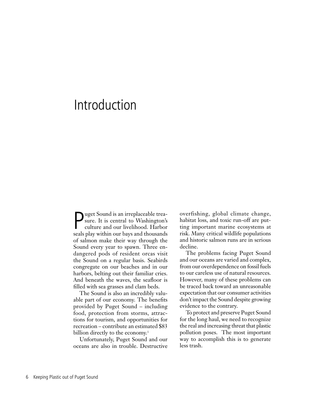### Introduction

P<br>ceals uget Sound is an irreplaceable treasure. It is central to Washington's culture and our livelihood. Harbor seals play within our bays and thousands of salmon make their way through the Sound every year to spawn. Three endangered pods of resident orcas visit the Sound on a regular basis. Seabirds congregate on our beaches and in our harbors, belting out their familiar cries. And beneath the waves, the seafloor is filled with sea grasses and clam beds.

The Sound is also an incredibly valuable part of our economy. The benefits provided by Puget Sound – including food, protection from storms, attractions for tourism, and opportunities for recreation – contribute an estimated \$83 billion directly to the economy.<sup>1</sup>

Unfortunately, Puget Sound and our oceans are also in trouble. Destructive overfishing, global climate change, habitat loss, and toxic run-off are putting important marine ecosystems at risk. Many critical wildlife populations and historic salmon runs are in serious decline.

The problems facing Puget Sound and our oceans are varied and complex, from our overdependence on fossil fuels to our careless use of natural resources. However, many of these problems can be traced back toward an unreasonable expectation that our consumer activities don't impact the Sound despite growing evidence to the contrary.

To protect and preserve Puget Sound for the long haul, we need to recognize the real and increasing threat that plastic pollution poses. The most important way to accomplish this is to generate less trash.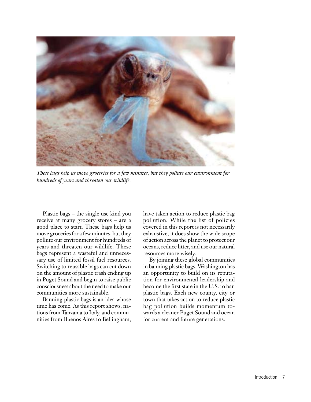

*These bags help us move groceries for a few minutes, but they pollute our environment for hundreds of years and threaten our wildlife.*

Plastic bags – the single use kind you receive at many grocery stores – are a good place to start. These bags help us move groceries for a few minutes, but they pollute our environment for hundreds of years and threaten our wildlife. These bags represent a wasteful and unnecessary use of limited fossil fuel resources. Switching to reusable bags can cut down on the amount of plastic trash ending up in Puget Sound and begin to raise public consciousness about the need to make our communities more sustainable.

Banning plastic bags is an idea whose time has come. As this report shows, nations from Tanzania to Italy, and communities from Buenos Aires to Bellingham, have taken action to reduce plastic bag pollution. While the list of policies covered in this report is not necessarily exhaustive, it does show the wide scope of action across the planet to protect our oceans, reduce litter, and use our natural resources more wisely.

By joining these global communities in banning plastic bags, Washington has an opportunity to build on its reputation for environmental leadership and become the first state in the U.S. to ban plastic bags. Each new county, city or town that takes action to reduce plastic bag pollution builds momentum towards a cleaner Puget Sound and ocean for current and future generations.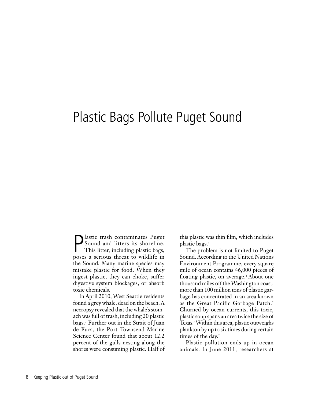### Plastic Bags Pollute Puget Sound

**P** lastic trash contaminates Puget<br>Sound and litters its shoreline.<br>This litter, including plastic bags, Sound and litters its shoreline. This litter, including plastic bags, poses a serious threat to wildlife in the Sound. Many marine species may mistake plastic for food. When they ingest plastic, they can choke, suffer digestive system blockages, or absorb toxic chemicals.

In April 2010, West Seattle residents found a grey whale, dead on the beach. A necropsy revealed that the whale's stomach was full of trash, including 20 plastic bags.2 Further out in the Strait of Juan de Fuca, the Port Townsend Marine Science Center found that about 12.2 percent of the gulls nesting along the shores were consuming plastic. Half of

this plastic was thin film, which includes plastic bags.3

The problem is not limited to Puget Sound. According to the United Nations Environment Programme, every square mile of ocean contains 46,000 pieces of floating plastic, on average.<sup>4</sup> About one thousand miles off the Washington coast, more than 100 million tons of plastic garbage has concentrated in an area known as the Great Pacific Garbage Patch.<sup>5</sup> Churned by ocean currents, this toxic, plastic soup spans an area twice the size of Texas.<sup>6</sup> Within this area, plastic outweighs plankton by up to six times during certain times of the day.<sup>7</sup>

Plastic pollution ends up in ocean animals. In June 2011, researchers at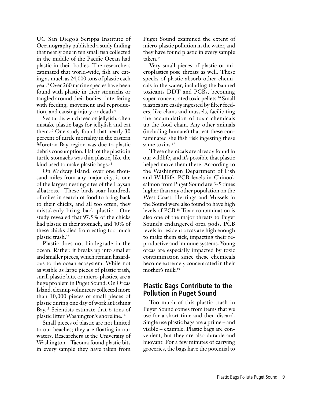UC San Diego's Scripps Institute of Oceanography published a study finding that nearly one in ten small fish collected in the middle of the Pacific Ocean had plastic in their bodies. The researchers estimated that world-wide, fish are eating as much as 24,000 tons of plastic each year.8 Over 260 marine species have been found with plastic in their stomachs or tangled around their bodies– interfering with feeding, movement and reproduction, and causing injury or death.<sup>9</sup>

Sea turtle, which feed on jellyfish, often mistake plastic bags for jellyfish and eat them.10 One study found that nearly 30 percent of turtle mortality in the eastern Moreton Bay region was due to plastic debris consumption. Half of the plastic in turtle stomachs was thin plastic, like the kind used to make plastic bags.<sup>11</sup>

On Midway Island, over one thousand miles from any major city, is one of the largest nesting sites of the Laysan albatross. These birds soar hundreds of miles in search of food to bring back to their chicks, and all too often, they mistakenly bring back plastic. One study revealed that 97.5% of the chicks had plastic in their stomach, and 40% of these chicks died from eating too much plastic trash.12

Plastic does not biodegrade in the ocean. Rather, it breaks up into smaller and smaller pieces, which remain hazardous to the ocean ecosystem. While not as visible as large pieces of plastic trash, small plastic bits, or micro-plastics, are a huge problem in Puget Sound. On Orcas Island, cleanup volunteers collected more than 10,000 pieces of small pieces of plastic during one day of work at Fishing Bay.13 Scientists estimate that 6 tons of plastic litter Washington's shoreline.14

Small pieces of plastic are not limited to our beaches; they are floating in our waters. Researchers at the University of Washington - Tacoma found plastic bits in every sample they have taken from

Puget Sound examined the extent of micro-plastic pollution in the water, and they have found plastic in every sample taken.<sup>15</sup>

Very small pieces of plastic or microplastics pose threats as well. These specks of plastic absorb other chemicals in the water, including the banned toxicants DDT and PCBs, becoming super-concentrated toxic pellets.<sup>16</sup> Small plastics are easily ingested by filter feeders, like clams and mussels, facilitating the accumulation of toxic chemicals up the food chain. Any other animals (including humans) that eat these contaminated shellfish risk ingesting these same toxins.<sup>17</sup>

These chemicals are already found in our wildlife, and it's possible that plastic helped move them there. According to the Washington Department of Fish and Wildlife, PCB levels in Chinook salmon from Puget Sound are 3-5 times higher than any other population on the West Coast. Herrings and Mussels in the Sound were also found to have high levels of PCB.18 Toxic contamination is also one of the major threats to Puget Sound's endangered orca pods. PCB levels in resident orcas are high enough to make them sick, impacting their reproductive and immune systems. Young orcas are especially impacted by toxic contamination since these chemicals become extremely concentrated in their mother's milk.19

### **Plastic Bags Contribute to the Pollution in Puget Sound**

Too much of this plastic trash in Puget Sound comes from items that we use for a short time and then discard. Single use plastic bags are a prime – and visible – example. Plastic bags are convenient, but they are also durable and buoyant. For a few minutes of carrying groceries, the bags have the potential to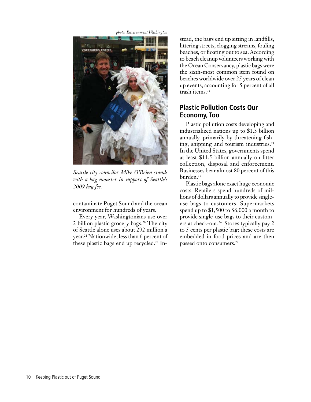*photo: Environment Washington*



*Seattle city councilor Mike O'Brien stands with a bag monster in support of Seattle's 2009 bag fee.*

contaminate Puget Sound and the ocean environment for hundreds of years.

Every year, Washingtonians use over 2 billion plastic grocery bags.20 The city of Seattle alone uses about 292 million a year.21 Nationwide, less than 6 percent of these plastic bags end up recycled.<sup>22</sup> Instead, the bags end up sitting in landfills, littering streets, clogging streams, fouling beaches, or floating out to sea. According to beach cleanup volunteers working with the Ocean Conservancy, plastic bags were the sixth-most common item found on beaches worldwide over 25 years of clean up events, accounting for 5 percent of all trash items.<sup>23</sup>

### **Plastic Pollution Costs Our Economy, Too**

Plastic pollution costs developing and industrialized nations up to \$1.3 billion annually, primarily by threatening fishing, shipping and tourism industries.<sup>24</sup> In the United States, governments spend at least \$11.5 billion annually on litter collection, disposal and enforcement. Businesses bear almost 80 percent of this burden.25

Plastic bags alone exact huge economic costs. Retailers spend hundreds of millions of dollars annually to provide singleuse bags to customers. Supermarkets spend up to \$1,500 to \$6,000 a month to provide single-use bags to their customers at check-out.<sup>26</sup> Stores typically pay 2 to 5 cents per plastic bag; these costs are embedded in food prices and are then passed onto consumers.27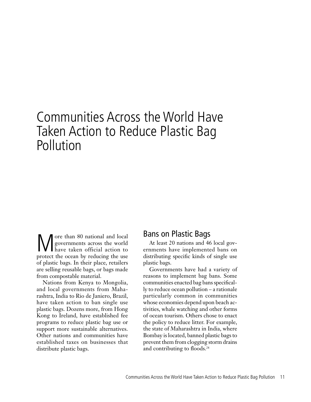### Communities Across the World Have Taken Action to Reduce Plastic Bag Pollution

We over than 80 national and local<br>governments across the world<br>have taken official action to governments across the world have taken official action to protect the ocean by reducing the use of plastic bags. In their place, retailers are selling reusable bags, or bags made from compostable material.

Nations from Kenya to Mongolia, and local governments from Maharashtra, India to Rio de Janiero, Brazil, have taken action to ban single use plastic bags. Dozens more, from Hong Kong to Ireland, have established fee programs to reduce plastic bag use or support more sustainable alternatives. Other nations and communities have established taxes on businesses that distribute plastic bags.

### Bans on Plastic Bags

At least 20 nations and 46 local governments have implemented bans on distributing specific kinds of single use plastic bags.

Governments have had a variety of reasons to implement bag bans. Some communities enacted bag bans specifically to reduce ocean pollution – a rationale particularly common in communities whose economies depend upon beach activities, whale watching and other forms of ocean tourism. Others chose to enact the policy to reduce litter. For example, the state of Maharashtra in India, where Bombay is located, banned plastic bags to prevent them from clogging storm drains and contributing to floods.28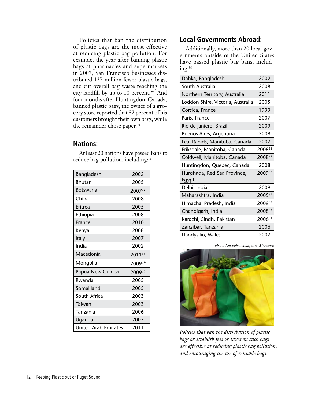Policies that ban the distribution of plastic bags are the most effective at reducing plastic bag pollution. For example, the year after banning plastic bags at pharmacies and supermarkets in 2007, San Francisco businesses distributed 127 million fewer plastic bags, and cut overall bag waste reaching the city landfill by up to 10 percent.<sup>29</sup> And four months after Huntingdon, Canada, banned plastic bags, the owner of a grocery store reported that 82 percent of his customers brought their own bags, while the remainder chose paper.30

#### **Nations:**

| Bangladesh                  | 2002               |
|-----------------------------|--------------------|
| Bhutan                      | 2005               |
| Botswana                    | $2007^{32}$        |
| China                       | 2008               |
| Eritrea                     | 2005               |
| Ethiopia                    | 2008               |
| France                      | 2010               |
| Kenya                       | 2008               |
| <b>Italy</b>                | 2007               |
| India                       | 2002               |
| Macedonia                   | $2011^{33}$        |
| Mongolia                    | 2009 <sup>34</sup> |
| Papua New Guinea            | 200935             |
| Rwanda                      | 2005               |
| Somaliland                  | 2005               |
| South Africa                | 2003               |
| Taiwan                      | 2003               |
| Tanzania                    | 2006               |
| Uganda                      | 2007               |
| <b>United Arab Emirates</b> | 2011               |

At least 20 nations have passed bans to reduce bag pollution, including:<sup>31</sup>

### **Local Governments Abroad:**

Additionally, more than 20 local governments outside of the United States have passed plastic bag bans, including:36

| Dahka, Bangladesh                    | 2002               |
|--------------------------------------|--------------------|
| South Australia                      | 2008               |
| Northern Territory, Australia        | 2011               |
| Loddon Shire, Victoria, Australia    | 2005               |
| Corsica, France                      | 1999               |
| Paris, France                        | 2007               |
| Rio de Janiero, Brazil               | 2009               |
| Buenos Aires, Argentina              | 2008               |
| Leaf Rapids, Manitoba, Canada        | 2007               |
| Eriksdale, Manitoba, Canada          | 2008 <sup>28</sup> |
| Coldwell, Manitoba, Canada           | 200829             |
| Huntingdon, Quebec, Canada           | 2008               |
| Hurghada, Red Sea Province,<br>Egypt | 200930             |
| Delhi, India                         | 2009               |
| Maharashtra, India                   | 200531             |
| Himachal Pradesh, India              | 200932             |
| Chandigarh, India                    | 200833             |
| Karachi, Sindh, Pakistan             | 200634             |
| Zanzibar, Tanzania                   | 2006               |
| Llandysilio, Wales                   | 2007               |
|                                      |                    |

*photo: Istockphoto.com, user McIninch*



*Policies that ban the distribution of plastic bags or establish fees or taxes on such bags are effective at reducing plastic bag pollution, and encouraging the use of reusable bags.*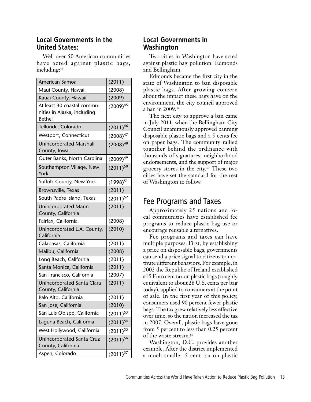### **Local Governments in the United States:**

Well over 50 American communities have acted against plastic bags, including:<sup>44</sup>

| American Samoa                                                      | (2011)        |
|---------------------------------------------------------------------|---------------|
| Maui County, Hawaii                                                 | (2008)        |
| Kauai County, Hawaii                                                | (2009)        |
| At least 30 coastal commu-<br>nities in Alaska, including<br>Bethel | $(2009)^{45}$ |
| Telluride, Colorado                                                 | $(2011)^{46}$ |
| Westport, Connecticut                                               | $(2008)^{47}$ |
| <b>Unincorporated Marshall</b><br>County, Iowa                      | $(2008)^{48}$ |
| Outer Banks, North Carolina                                         | $(2009)^{49}$ |
| Southampton Village, New<br>York                                    | $(2011)^{50}$ |
| Suffolk County, New York                                            | $(1998)^{51}$ |
| Brownsville, Texas                                                  | (2011)        |
| South Padre Island, Texas                                           | $(2011)^{52}$ |
| <b>Unincorporated Marin</b><br>County, California                   | (2011)        |
| Fairfax, California                                                 | (2008)        |
| Unincorporated L.A. County,<br>California                           | (2010)        |
| Calabasas, California                                               | (2011)        |
| Malibu, California                                                  | (2008)        |
| Long Beach, California                                              | (2011)        |
| Santa Monica, California                                            | (2011)        |
| San Francisco, California                                           | (2007)        |
| Unincorporated Santa Clara<br>County, California                    | (2011)        |
| Palo Alto, California                                               | (2011)        |
| San Jose, California                                                | (2010)        |
| San Luis Obispo, California                                         | $(2011)^{53}$ |
| Laguna Beach, California                                            | $(2011)^{54}$ |
| West Hollywood, California                                          | $(2011)^{55}$ |
| Unincorporated Santa Cruz<br>County, California                     | $(2011)^{56}$ |
| Aspen, Colorado                                                     | $(2011)^{57}$ |

### **Local Governments in Washington**

Two cities in Washington have acted against plastic bag pollution: Edmonds and Bellingham.

Edmonds became the first city in the state of Washington to ban disposable plastic bags. After growing concern about the impact these bags have on the environment, the city council approved a ban in 2009.58

The next city to approve a ban came in July 2011, when the Bellingham City Council unanimously approved banning disposable plastic bags and a 5 cents fee on paper bags. The community rallied together behind the ordinance with thousands of signatures, neighborhood endorsements, and the support of major grocery stores in the city.59 These two cities have set the standard for the rest of Washington to follow.

### Fee Programs and Taxes

Approximately 25 nations and local communities have established fee programs to reduce plastic bag use or encourage reusable alternatives.

Fee programs and taxes can have multiple purposes. First, by establishing a price on disposable bags, governments can send a price signal to citizens to motivate different behaviors. For example, in 2002 the Republic of Ireland established a15 Euro cent tax on plastic bags (roughly equivalent to about 28 U.S. cents per bag today), applied to consumers at the point of sale. In the first year of this policy, consumers used 90 percent fewer plastic bags. The tax grew relatively less effective over time, so the nation increased the tax in 2007. Overall, plastic bags have gone from 5 percent to less than 0.25 percent of the waste stream.<sup>60</sup>

Washington, D.C. provides another example. After the district implemented a much smaller 5 cent tax on plastic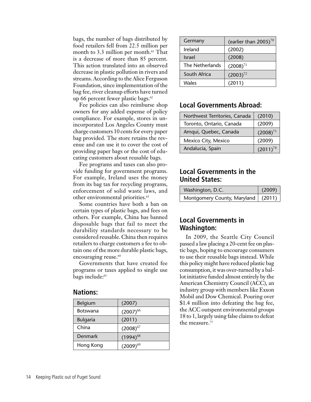bags, the number of bags distributed by food retailers fell from 22.5 million per month to 3.3 million per month. $61$  That is a decrease of more than 85 percent. This action translated into an observed decrease in plastic pollution in rivers and streams. According to the Alice Ferguson Foundation, since implementation of the bag fee, river cleanup efforts have turned up 66 percent fewer plastic bags. $62$ 

Fee policies can also reimburse shop owners for any added expense of policy compliance. For example, stores in unincorporated Los Angeles County must charge customers 10 cents for every paper bag provided. The store retains the revenue and can use it to cover the cost of providing paper bags or the cost of educating customers about reusable bags.

Fee programs and taxes can also provide funding for government programs. For example, Ireland uses the money from its bag tax for recycling programs, enforcement of solid waste laws, and other environmental priorities.<sup>63</sup>

Some countries have both a ban on certain types of plastic bags, and fees on others. For example, China has banned disposable bags that fail to meet the durability standards necessary to be considered reusable. China then requires retailers to charge customers a fee to obtain one of the more durable plastic bags, encouraging reuse.<sup>64</sup>

Governments that have created fee programs or taxes applied to single use bags include:<sup>65</sup>

#### **Nations:**

| (2007)        |
|---------------|
| $(2007)^{66}$ |
| (2011)        |
| $(2008)^{67}$ |
| $(1994)^{68}$ |
| $(2009)^{69}$ |
|               |

| Germany         | (earlier than $2005$ ) <sup>70</sup> |
|-----------------|--------------------------------------|
| Ireland         | (2002)                               |
| <b>Israel</b>   | (2008)                               |
| The Netherlands | $(2008)^{71}$                        |
| South Africa    | $(2003)^{72}$                        |
| Wales           | (2011)                               |

### **Local Governments Abroad:**

| Northwest Territories, Canada | (2010)        |
|-------------------------------|---------------|
| Toronto, Ontario, Canada      | (2009)        |
| Amqui, Quebec, Canada         | $(2008)^{73}$ |
| Mexico City, Mexico           | (2009)        |
| Andalucia, Spain              | $(2011)^{74}$ |

### **Local Governments in the United States:**

| Washington, D.C.                     | (2009) |
|--------------------------------------|--------|
| Montgomery County, Maryland   (2011) |        |

### **Local Governments in Washington:**

In 2009, the Seattle City Council passed a law placing a 20-cent fee on plastic bags, hoping to encourage consumers to use their reusable bags instead. While this policy might have reduced plastic bag consumption, it was over-turned by a ballot initiative funded almost entirely by the American Chemistry Council (ACC), an industry group with members like Exxon Mobil and Dow Chemical. Pouring over \$1.4 million into defeating the bag fee, the ACC outspent environmental groups 18 to 1, largely using false claims to defeat the measure.<sup>75</sup>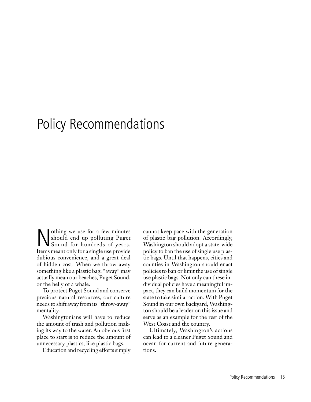### Policy Recommendations

Nothing we use for a few minutes<br>should end up polluting Puget<br>Sound for hundreds of years. should end up polluting Puget Sound for hundreds of years. Items meant only for a single use provide dubious convenience, and a great deal of hidden cost. When we throw away something like a plastic bag, "away" may actually mean our beaches, Puget Sound, or the belly of a whale.

To protect Puget Sound and conserve precious natural resources, our culture needs to shift away from its "throw-away" mentality.

Washingtonians will have to reduce the amount of trash and pollution making its way to the water. An obvious first place to start is to reduce the amount of unnecessary plastics, like plastic bags.

Education and recycling efforts simply

cannot keep pace with the generation of plastic bag pollution. Accordingly, Washington should adopt a state-wide policy to ban the use of single use plastic bags. Until that happens, cities and counties in Washington should enact policies to ban or limit the use of single use plastic bags. Not only can these individual policies have a meaningful impact, they can build momentum for the state to take similar action. With Puget Sound in our own backyard, Washington should be a leader on this issue and serve as an example for the rest of the West Coast and the country.

Ultimately, Washington's actions can lead to a cleaner Puget Sound and ocean for current and future generations.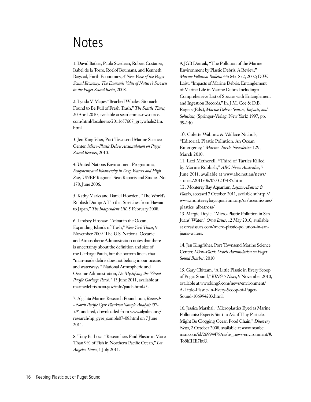### Notes

1. David Batker, Paula Swedeen, Robert Costanza, Isabel de la Torre, Roelof Boumans, and Kenneth Bagstad, Earth Economics, *A New View of the Puget Sound Economy: The Economic Value of Nature's Services in the Puget Sound Basin*, 2008.

2. Lynda V. Mapes "Beached Whales' Stomach Found to Be Full of Fresh Trash," *The Seattle Times,* 20 April 2010, available at seattletimes.nwsource. com/html/localnews/2011657607\_graywhale21m. html.

3. Jen Kingfisher, Port Townsend Marine Science Center, *Micro-Plastic Debris Accumulation on Puget Sound Beaches*, 2010.

4. United Nations Environment Programme, *Ecosystems and Biodiversity in Deep Waters and High Seas*, UNEP Regional Seas Reports and Studies No. 178, June 2006.

5. Kathy Marks and Daniel Howden, "The World's Rubbish Dump: A Tip that Stretches from Hawaii to Japan," *The Independent UK*, 5 February 2008.

6. Lindsey Hoshaw, "Afloat in the Ocean, Expanding Islands of Trash," *New York Times*, 9 November 2009. The U.S. National Oceanic and Atmospheric Administration notes that there is uncertainty about the definition and size of the Garbage Patch, but the bottom line is that "man-made debris does not belong in our oceans and waterways." National Atmospheric and Oceanic Administration, *De-Mystifying the "Great Pacific Garbage Patch,"* 13 June 2011, available at marinedebris.noaa.gov/info/patch.html#5.

7. Algalita Marine Research Foundation, *Research - North Pacific Gyre Plankton Sample Analysis '07- '08*, undated, downloaded from www.algalita.org/ research/np\_gyre\_sample07-08.html on 7 June 2011.

8. Tony Barboza, "Researchers Find Plastic in More Than 9% of Fish in Northern Pacific Ocean," *Los Angeles Times*, 1 July 2011.

9. JGB Derraik, "The Pollution of the Marine Environment by Plastic Debris: A Review," *Marine Pollution Bulletin* 44: 842-852, 2002; D.W. Laist, "Impacts of Marine Debris: Entanglement of Marine Life in Marine Debris Including a Comprehensive List of Species with Entanglement and Ingestion Records," In: J.M. Coe & D.B. Rogers (Eds.), *Marine Debris: Sources, Impacts, and Solutions,* (Springer-Verlag, New York) 1997, pp. 99-140.

10. Colette Wabnitz & Wallace Nichols, "Editorial: Plastic Pollution: An Ocean Emergency," *Marine Turtle Newsletter* 129, March 2010.

11. Lexi Metherell, "Third of Turtles Killed by Marine Rubbish," *ABC News Australia*, 7 June 2011, available at www.abc.net.au/news/ stories/2011/06/07/3237485.htm.

12. Monterey Bay Aquarium, *Laysan Albatross & Plastics*, accessed 7 October, 2011, available at http:// www.montereybayaquarium.org/cr/oceanissues/ plastics\_albatross/

13. Margie Doyle, "Micro-Plastic Pollution in San Juans' Water," *Orcas Issues*, 12 May 2010, available at orcasissues.com/micro-plastic-pollution-in-sanjuans-waters.

14. Jen Kingfisher, Port Townsend Marine Science Center, *Micro-Plastic Debris Accumulation on Puget Sound Beaches*, 2010.

15. Gary Chittam, "A Little Plastic in Every Scoop of Puget Sound," *KING 5 News*, 9 November 2010, available at www.king5.com/news/environment/ A-Little-Plastic-In-Every-Scoop-of-Puget-Sound-106994203.html.

16. Jessica Marshal, "Microplastics Eyed as Marine Pollutants: Experts Start to Ask if Tiny Particles Might Be Clogging Ocean Food Chain," *Discovery News*, 2 October 2008, available at www.msnbc. msn.com/id/26994478/ns/us\_news-environment/#. To8hIHE7htQ.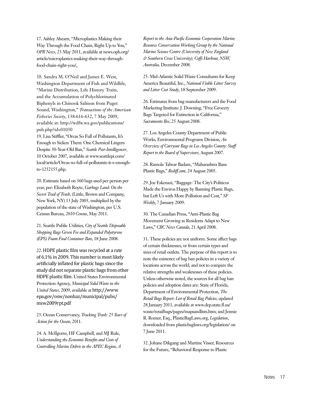17. Ashley Ahearn, "Microplastics Making their Way Through the Food Chain, Right Up to You," *OPB News*, 23 May 2011, available at news.opb.org/ article/microplastics-making-their-way-throughfood-chain-right-you/.

18. Sandra M. O'Neil and James E. West, Washington Department of Fish and Wildlife, "Marine Distribution, Life History Traits, and the Accumulation of Polychlorinated Biphenyls in Chinook Salmon from Puget Sound, Washington," *Transactions of the American Fisheries Society*, 138:616-632, 7 May 2009, available at: http://wdfw.wa.gov/publications/ pub.php?id=01030

19. Lisa Stiffler, "Orcas So Full of Pollutants, It's Enough to Sicken Them: One Chemical Lingers Despite 30-Year-Old Ban," *Seattle Post-Intelligencer*, 10 October 2007, available at www.seattlepi.com/ local/article/Orcas-so-full-of-pollutants-it-s-enoughto-1252155.php.

20. Estimate based on 360 bags used per person per year, per: Elizabeth Royte, *Garbage Land: On the Secret Trail of Trash,* (Little, Brown and Company, New York, NY) 13 July 2005, multiplied by the population of the state of Washington, per U.S. Census Bureau, *2010 Census*, May 2011.

21. Seattle Public Utilities, *City of Seattle Disposable Shopping Bags Green Fee and Expanded Polystyrene (EPS) Foam Food Container Ban*, 18 June 2008.

22. HDPE plastic film was recycled at a rate of 6.1% in 2009. This number is most likely artificially inflated for plastic bags since the study did not separate plastic bags from other HDPE plastic film. United States Environmental Protection Agency, *Municipal Solid Waste in the United States,* 2009, available at http://www. epa.gov/osw/nonhaz/municipal/pubs/ msw2009rpt.pdf

23. Ocean Conservancy, *Tracking Trash: 25 Years of Action for the Ocean*, 2011.

24. A. McIlgorm, HF Campbell, and MJ Rule, *Understanding the Economic Benefits and Costs of Controlling Marine Debris in the APEC Region, A*  *Report to the Asia-Pacific Economic Cooperation Marine Resource Conservation Working Group by the National Marine Science Centre (University of New England & Southern Cross University), Coffs Harbour, NSW, Australia,* December 2008.

25. Mid-Atlantic Solid Waste Consultants for Keep America Beautiful, Inc., *National Visible Litter Survey and Litter Cost Study*, 18 September 2009.

26. Estimates from bag manufacturers and the Food Marketing Institute: J. Downing, "Free Grocery Bags Targeted for Extinction in California," *Sacramento Bee*, 25 August 2008.

27. Los Angeles County Department of Public Works, Environmental Programs Division, *An Overview of Carryout Bags in Los Angeles County: Staff Report to the Board of Supervisors*, August 2007.

28. Ramola Talwar Badam, "Maharashtra Bans Plastic Bags," *Rediff.com*, 24 August 2005.

29. Joe Eskenazi, "Baggage: The City's Politicos Made the Enviros Happy by Banning Plastic Bags, but Left Us with More Pollution and Cost," *SF Weekly*, 7 January 2009.

30. The Canadian Press, "Anti-Plastic Bag Movement Growing as Residents Adapt to New Laws," *CBC News Canada*, 21 April 2008.

31. These policies are not uniform. Some affect bags of certain thicknesses, or from certain types and sizes of retail outlets. The purpose of this report is to note the existence of bag ban policies in a variety of locations across the world, and not to compare the relative strengths and weaknesses of these policies. Unless otherwise noted, the sources for all bag ban policies and adoption dates are: State of Florida, Department of Environmental Protection, *The Retail Bags Report: List of Retail Bag Policies*, updated 28 January 2011, available at www.dep.state.fl.us/ waste/retailbags/pages/mapsandlists.htm; and Jennie R. Romer, Esq., PlasticBagLaws.org, *Legislation*, downloaded from plasticbaglaws.org/legislation/ on 7 June 2011.

32. Johane Dikgang and Martine Visser, Resources for the Future, "Behavioral Response to Plastic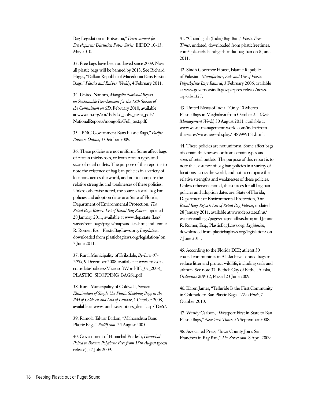Bag Legislation in Botswana," *Environment for Development Discussion Paper Series*, EfDDP 10-13, May 2010.

33. Free bags have been outlawed since 2009. Now all plastic bags will be banned by 2013. See Richard Higgs, "Balkan Republic of Macedonia Bans Plastic Bags," *Plastics and Rubber Weekly*, 4 February 2011.

34. United Nations, *Mongolia National Report on Sustainable Development for the 18th Session of the Commission on SD*, February 2010, available at www.un.org/esa/dsd/dsd\_aofw\_ni/ni\_pdfs/ NationalReports/mongolia/Full\_text.pdf.

35. "PNG Government Bans Plastic Bags," *Pacific Business Online*, 3 October 2009.

36. These policies are not uniform. Some affect bags of certain thicknesses, or from certain types and sizes of retail outlets. The purpose of this report is to note the existence of bag ban policies in a variety of locations across the world, and not to compare the relative strengths and weaknesses of these policies. Unless otherwise noted, the sources for all bag ban policies and adoption dates are: State of Florida, Department of Environmental Protection, *The Retail Bags Report: List of Retail Bag Policies*, updated 28 January 2011, available at www.dep.state.fl.us/ waste/retailbags/pages/mapsandlists.htm; and Jennie R. Romer, Esq., PlasticBagLaws.org, *Legislation*, downloaded from plasticbaglaws.org/legislation/ on 7 June 2011.

37. Rural Municipality of Eriksdale, *By-Law 07- 2008*, 9 December 2008, available at www.eriksdale. com/data/policies/MicrosoftWord-BL\_07\_2008\_ PLASTIC\_SHOPPING\_BAGS1.pdf

38. Rural Municipality of Coldwell, *Notices: Elimination of Single Use Plastic Shopping Bags in the RM of Coldwell and Lud of Lundar*, 1 October 2008, available at www.lundar.ca/notices\_detail.asp?ID=67.

39. Ramola Talwar Badam, "Maharashtra Bans Plastic Bags," *Rediff.com*, 24 August 2005.

40. Government of Himachal Pradesh, *Himachal Poised to Become Polythene Free from 15th August* (press release), 27 July 2009.

41. "Chandigarh (India) Bag Ban," *Plastic Free Times*, undated, downloaded from plasticfreetimes. com/~plasticf/chandigarh-india-bag-ban on 8 June 2011.

42. Sindh Governor House, Islamic Republic of Pakistan, *Manufacture, Sale and Use of Plastic Polyethylene Bags Banned*, 3 February 2006, available at www.governorsindh.gov.pk/pressrelease/news. asp?id=1325.

43. United News of India, "Only 40 Micros Plastic Bags in Meghalaya from October 2," *Waste Management World*, 30 August 2011, available at www.waste-management-world.com/index/fromthe-wires/wire-news-display/1489999151.html.

44. These policies are not uniform. Some affect bags of certain thicknesses, or from certain types and sizes of retail outlets. The purpose of this report is to note the existence of bag ban policies in a variety of locations across the world, and not to compare the relative strengths and weaknesses of these policies. Unless otherwise noted, the sources for all bag ban policies and adoption dates are: State of Florida, Department of Environmental Protection, *The Retail Bags Report: List of Retail Bag Policies*, updated 28 January 2011, available at www.dep.state.fl.us/ waste/retailbags/pages/mapsandlists.htm; and Jennie R. Romer, Esq., PlasticBagLaws.org, *Legislation*, downloaded from plasticbaglaws.org/legislation/ on 7 June 2011.

45. According to the Florida DEP, at least 30 coastal communities in Alaska have banned bags to reduce litter and protect wildlife, including seals and salmon. See note 37. Bethel: City of Bethel, Alaska, *Ordinance #09-12*, Passed 23 June 2009.

46. Karen James, "Telluride Is the First Community in Colorado to Ban Plastic Bags," *The Watch*, 7 October 2010.

47. Wendy Carlson, "Westport First in State to Ban Plastic Bags," *New York Times*, 26 September 2008.

48. Associated Press, "Iowa County Joins San Francisco in Bag Ban," *The Street.com*, 8 April 2009.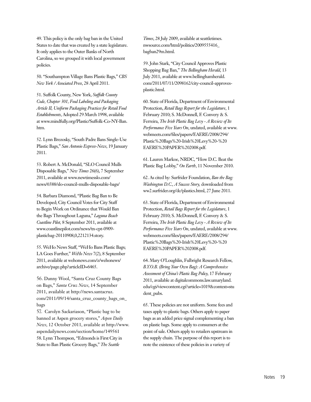49. This policy is the only bag ban in the United States to date that was created by a state legislature. It only applies to the Outer Banks of North Carolina, so we grouped it with local government policies.

50. "Southampton Village Bans Plastic Bags," *CBS New York / Associated Press*, 28 April 2011.

51. Suffolk County, New York, *Suffolk County Code, Chapter 301, Food Labeling and Packaging Article II, Uniform Packaging Practices for Retail Food Establishments*, Adopted 29 March 1998, available at www.mindfully.org/Plastic/Suffolk-Co-NY-Ban. htm.

52. Lynn Brezosky, "South Padre Bans Single-Use Plastic Bags," *San Antonio Express-News*, 19 January 2011.

53. Robert A. McDonald, "SLO Council Mulls Disposable Bags," *New Times* 26(6), 7 September 2011, available at www.newtimesslo.com/ news/6588/slo-council-mulls-disposable-bags/

54. Barbara Diamond, "Plastic Bag Ban to Be Developed; City Council Votes for City Staff to Begin Work on Ordinance that Would Ban the Bags Throughout Laguna," *Laguna Beach Coastline Pilot,* 8 September 2011, available at www.coastlinepilot.com/news/tn-cpt-0909 plasticbag-20110908,0,2212134.story.

55. WeHo News Staff, "WeHo Bans Plastic Bags; LA Goes Further," *WeHo News* 7(2), 8 September 2011, available at wehonews.com/z/wehonews/ archive/page.php?articleID=6465.

56. Danny Wool, "Santa Cruz County Bags on Bags," *Santa Cruz News*, 14 September 2011, available at http://news.santacruz. com/2011/09/14/santa\_cruz\_county\_bags\_on\_ bags

57. Carolyn Sackariason, "Plastic bag to be banned at Aspen grocery stores," *Aspen Daily News*, 12 October 2011, available at http://www. aspendailynews.com/section/home/149561 58. Lynn Thompson, "Edmonds is First City in State to Ban Plastic Grocery Bags," *The Seattle* 

*Times*, 28 July 2009, available at seattletimes. nwsource.com/html/politics/2009555416\_ bagban29m.html.

59. John Stark, "City Council Approves Plastic Shopping Bag Ban," *The Bellingham Herald*, 13 July 2011, available at www.bellinghamherald. com/2011/07/11/2098162/city-council-approvesplastic.html.

60. State of Florida, Department of Environmental Protection, *Retail Bags Report for the Legislature*, 1 February 2010; S. McDonnell, F. Convery & S. Ferreira, *The Irish Plastic Bag Levy - A Review of Its Performance Five Years On*, undated, available at www. webmeets.com/files/papers/EAERE/2008/294/ Plastic%20Bags%20-Irish%20Levy%20-%20 EAERE%20PAPER%202008.pdf.

61. Lauren Markoe, NRDC, "How D.C. Beat the Plastic Bag Lobby," *On Earth*, 11 November 2010.

62. As cited by: Surfrider Foundation, *Ban the Bag: Washington D.C., A Success Story,* downloaded from ww2.surfrider.org/dc/plastics.html, 27 June 2011.

63. State of Florida, Department of Environmental Protection, *Retail Bags Report for the Legislature*, 1 February 2010; S. McDonnell, F. Convery & S. Ferreira, *The Irish Plastic Bag Levy - A Review of Its Performance Five Years On*, undated, available at www. webmeets.com/files/papers/EAERE/2008/294/ Plastic%20Bags%20-Irish%20Levy%20-%20 EAERE%20PAPER%202008.pdf.

64. Mary O'Loughlin, Fulbright Research Fellow, *B.Y.O.B. (Bring Your Own Bag): A Comprehensive Assessment of China's Plastic Bag Policy,* 17 February 2011, available at digitalcommons.law.umaryland. edu/cgi/viewcontent.cgi?article=1019&context=stu dent\_pubs.

65. These policies are not uniform. Some fees and taxes apply to plastic bags. Others apply to paper bags as an added price signal complementing a ban on plastic bags. Some apply to consumers at the point of sale. Others apply to retailers upstream in the supply chain. The purpose of this report is to note the existence of these policies in a variety of